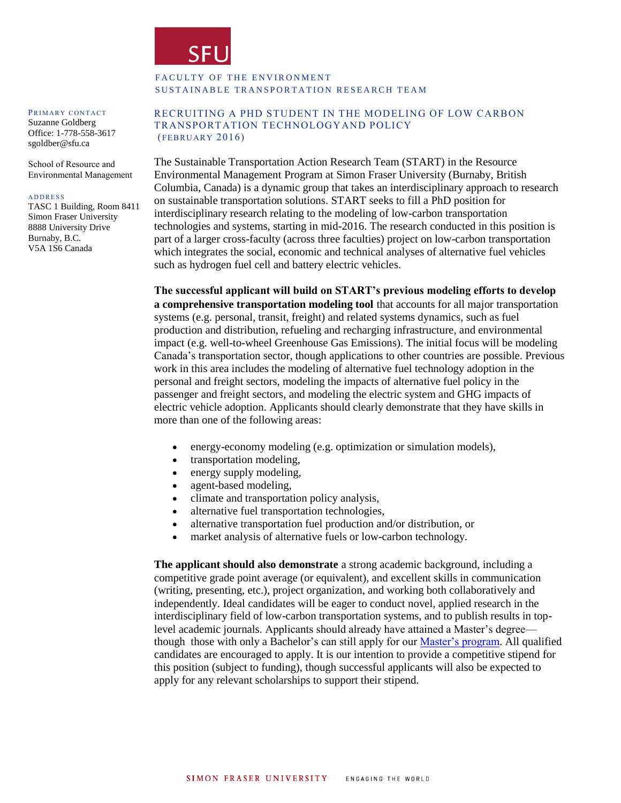

## FACULTY OF THE ENVIRONMENT SUSTAINABLE TRANSPORTATION RESEARCH TEAM

#### PRIMARY CONTACT

Suzanne Goldberg Office: 1-778-558-3617 sgoldber@sfu.ca

School of Resource and Environmental Management

#### **A D D R E S S**

TASC 1 Building, Room 8411 Simon Fraser University 8888 University Drive Burnaby, B.C. V5A 1S6 Canada

### RECRUITING A PHD STUDENT IN THE MODELING OF LOW CARBON TRANSPORTATION TECHNOLOGYAND POLICY  $(FEBRUARY 2016)$

The Sustainable Transportation Action Research Team (START) in the Resource Environmental Management Program at Simon Fraser University (Burnaby, British Columbia, Canada) is a dynamic group that takes an interdisciplinary approach to research on sustainable transportation solutions. START seeks to fill a PhD position for interdisciplinary research relating to the modeling of low-carbon transportation technologies and systems, starting in mid-2016. The research conducted in this position is part of a larger cross-faculty (across three faculties) project on low-carbon transportation which integrates the social, economic and technical analyses of alternative fuel vehicles such as hydrogen fuel cell and battery electric vehicles.

**The successful applicant will build on START's previous modeling efforts to develop a comprehensive transportation modeling tool** that accounts for all major transportation systems (e.g. personal, transit, freight) and related systems dynamics, such as fuel production and distribution, refueling and recharging infrastructure, and environmental impact (e.g. well-to-wheel Greenhouse Gas Emissions). The initial focus will be modeling Canada's transportation sector, though applications to other countries are possible. Previous work in this area includes the modeling of alternative fuel technology adoption in the personal and freight sectors, modeling the impacts of alternative fuel policy in the passenger and freight sectors, and modeling the electric system and GHG impacts of electric vehicle adoption. Applicants should clearly demonstrate that they have skills in more than one of the following areas:

- energy-economy modeling (e.g. optimization or simulation models),
- transportation modeling,
- energy supply modeling,
- agent-based modeling,
- climate and transportation policy analysis,
- alternative fuel transportation technologies,
- alternative transportation fuel production and/or distribution, or
- market analysis of alternative fuels or low-carbon technology.

**The applicant should also demonstrate** a strong academic background, including a competitive grade point average (or equivalent), and excellent skills in communication (writing, presenting, etc.), project organization, and working both collaboratively and independently. Ideal candidates will be eager to conduct novel, applied research in the interdisciplinary field of low-carbon transportation systems, and to publish results in toplevel academic journals. Applicants should already have attained a Master's degree though those with only a Bachelor's can still apply for our [Master's program.](http://www.rem.sfu.ca/programs/minor-in-rem/) All qualified candidates are encouraged to apply. It is our intention to provide a competitive stipend for this position (subject to funding), though successful applicants will also be expected to apply for any relevant scholarships to support their stipend.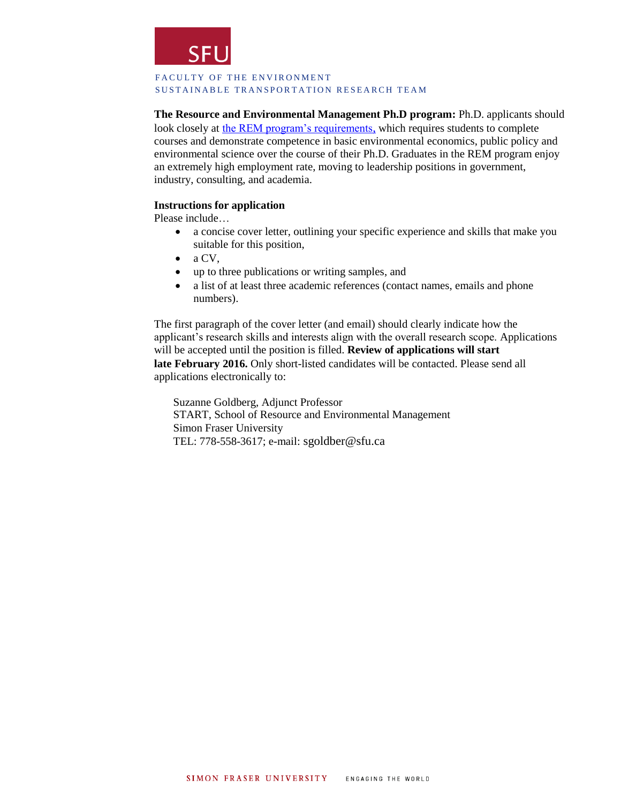

### FACULTY OF THE ENVIRONMENT SUSTAINABLE TRANSPORTATION RESEARCH TEAM

**The Resource and Environmental Management Ph.D program:** Ph.D. applicants should look closely at [the REM program's requirements](http://www.rem.sfu.ca/prospective-students/admission-requirements/), which requires students to complete courses and demonstrate competence in basic environmental economics, public policy and environmental science over the course of their Ph.D. Graduates in the REM program enjoy an extremely high employment rate, moving to leadership positions in government, industry, consulting, and academia.

# **Instructions for application**

Please include…

- a concise cover letter, outlining your specific experience and skills that make you suitable for this position,
- $\bullet$  a CV,
- up to three publications or writing samples, and
- a list of at least three academic references (contact names, emails and phone numbers).

The first paragraph of the cover letter (and email) should clearly indicate how the applicant's research skills and interests align with the overall research scope. Applications will be accepted until the position is filled. **Review of applications will start late February 2016.** Only short-listed candidates will be contacted. Please send all applications electronically to:

Suzanne Goldberg, Adjunct Professor START, School of Resource and Environmental Management Simon Fraser University TEL: 778-558-3617; e-mail: [sgoldber@sfu.ca](mailto:sgoldber@sfu.ca)